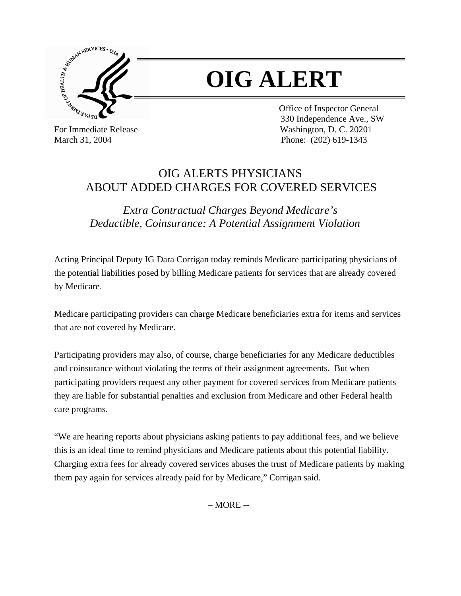

## **OIG ALERT**

 Office of Inspector General 330 Independence Ave., SW For Immediate Release Washington, D. C. 20201 March 31, 2004 Phone: (202) 619-1343

## OIG ALERTS PHYSICIANS ABOUT ADDED CHARGES FOR COVERED SERVICES

*Extra Contractual Charges Beyond Medicare's Deductible, Coinsurance: A Potential Assignment Violation* 

Acting Principal Deputy IG Dara Corrigan today reminds Medicare participating physicians of the potential liabilities posed by billing Medicare patients for services that are already covered by Medicare.

Medicare participating providers can charge Medicare beneficiaries extra for items and services that are not covered by Medicare.

Participating providers may also, of course, charge beneficiaries for any Medicare deductibles and coinsurance without violating the terms of their assignment agreements. But when participating providers request any other payment for covered services from Medicare patients they are liable for substantial penalties and exclusion from Medicare and other Federal health care programs.

"We are hearing reports about physicians asking patients to pay additional fees, and we believe this is an ideal time to remind physicians and Medicare patients about this potential liability. Charging extra fees for already covered services abuses the trust of Medicare patients by making them pay again for services already paid for by Medicare," Corrigan said.

 $-MORE -$